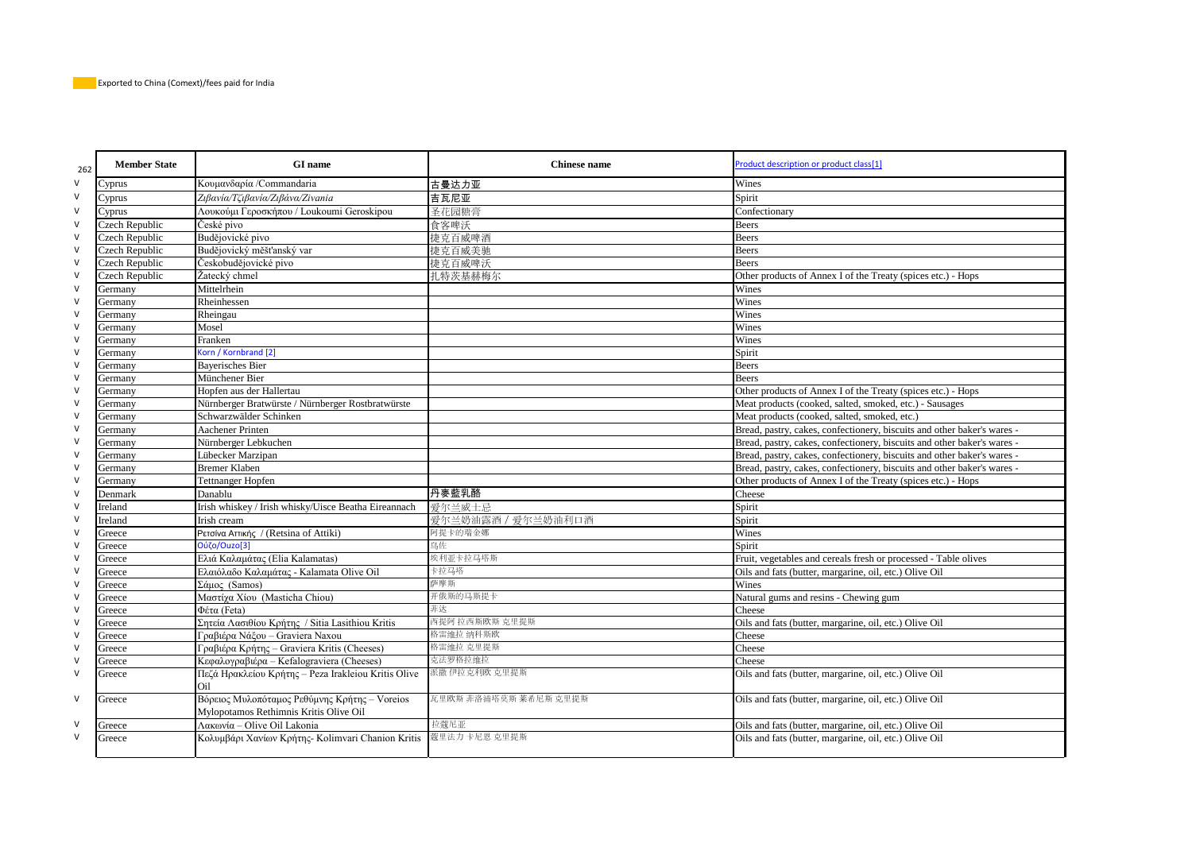| 262     | <b>Member State</b> | <b>GI</b> name                                       | <b>Chinese name</b>   | Product description or product class[1] |
|---------|---------------------|------------------------------------------------------|-----------------------|-----------------------------------------|
| V       | <b>Cyprus</b>       | Κουμανδαρία /Commandaria                             | 古曼达力亚                 | Wines                                   |
| $\vee$  | <b>Cyprus</b>       | Zιβανία/Τζιβανία/Zιβάνα/Zivania                      | 吉瓦尼亚                  | Spirit                                  |
| $\vee$  | Cyprus              | Λουκούμι Γεροσκήπου / Loukoumi Geroskipou            | 圣花园糖膏                 | Confectionary                           |
| $\vee$  | Czech Republic      | České pivo                                           | 食客啤沃                  | <b>Beers</b>                            |
| $\vee$  | Czech Republic      | Budějovické pivo                                     | 捷克百威啤酒                | <b>Beers</b>                            |
| $\vee$  | Czech Republic      | Budějovický měšťanský var                            | 捷克百威美驰                | <b>Beers</b>                            |
| $\vee$  | Czech Republic      | Českobudějovické pivo                                | 捷克百威啤沃                | <b>Beers</b>                            |
| $\vee$  | Czech Republic      | Žatecký chmel                                        | 扎特茨基赫梅尔               | Other products of Annex I of the Tr     |
| $\vee$  | Germany             | Mittelrhein                                          |                       | Wines                                   |
| $\vee$  | Germany             | Rheinhessen                                          |                       | Wines                                   |
| $\vee$  | Germany             | Rheingau                                             |                       | Wines                                   |
| $\vee$  | Germany             | Mosel                                                |                       | Wines                                   |
| $\vee$  | Germany             | Franken                                              |                       | Wines                                   |
| $\vee$  | Germany             | Korn / Kornbrand [2]                                 |                       | Spirit                                  |
| $\vee$  | Germany             | <b>Bayerisches Bier</b>                              |                       | <b>Beers</b>                            |
| $\vee$  | Germany             | Münchener Bier                                       |                       | <b>Beers</b>                            |
| $\vee$  | Germany             | Hopfen aus der Hallertau                             |                       | Other products of Annex I of the Tr     |
| $\vee$  | Germany             | Nürnberger Bratwürste / Nürnberger Rostbratwürste    |                       | Meat products (cooked, salted, smo.     |
| $\vee$  | Germany             | Schwarzwälder Schinken                               |                       | Meat products (cooked, salted, smo.     |
| $\vee$  | Germany             | <b>Aachener Printen</b>                              |                       | Bread, pastry, cakes, confectionery,    |
| $\vee$  | Germany             | Nürnberger Lebkuchen                                 |                       | Bread, pastry, cakes, confectionery,    |
| $\vee$  | Germany             | Lübecker Marzipan                                    |                       | Bread, pastry, cakes, confectionery,    |
| $\vee$  | Germany             | <b>Bremer Klaben</b>                                 |                       | Bread, pastry, cakes, confectionery,    |
| V       | Germany             | Tettnanger Hopfen                                    |                       | Other products of Annex I of the Tr     |
| $\vee$  | Denmark             | Danablu                                              | 丹麥藍乳酪                 | Cheese                                  |
| $\vee$  | Ireland             | Irish whiskey / Irish whisky/Uisce Beatha Eireannach | 爱尔兰威士忌                | Spirit                                  |
| V       | Ireland             | Irish cream                                          | 爱尔兰奶油露酒 / 爱尔兰奶油利口酒    | Spirit                                  |
|         | Greece              | Ρετσίνα Αττικής / (Retsina of Attiki)                | 阿提卡的瑞金娜               | Wines                                   |
| $\vee$  | Greece              | Ούζο/Ouzo[3]                                         | 乌佐                    | Spirit                                  |
| $\vee$  | Greece              | Ελιά Καλαμάτας (Elia Kalamatas)                      | 埃利亚卡拉马塔斯              | Fruit, vegetables and cereals fresh o   |
| $\vee$  | Greece              | Ελαιόλαδο Καλαμάτας - Kalamata Olive Oil             | 卡拉马塔                  | Oils and fats (butter, margarine, oil,  |
| $\vee$  | Greece              | $\Sigma$ άμος (Samos)                                | 萨摩斯                   | Wines                                   |
| $\vee$  | Greece              | Μαστίχα Χίου (Masticha Chiou)                        | 开俄斯的马斯提卡              | Natural gums and resins - Chewing       |
| $\vee$  | Greece              | $Φ$ έτα (Feta)                                       | 菲达                    | Cheese                                  |
| $\vee$  | Greece              | Σητεία Λασιθίου Κρήτης / Sitia Lasithiou Kritis      | 西提阿 拉西斯欧斯 克里提斯        | Oils and fats (butter, margarine, oil,  |
| $\vee$  | Greece              | Γραβιέρα Νάξου – Graviera Naxou                      | 格雷维拉 纳科斯欧             | Cheese                                  |
| $\vee$  | Greece              | Γραβιέρα Κρήτης – Graviera Kritis (Cheeses)          | 格雷维拉 克里提斯             | Cheese                                  |
| $\vee$  | Greece              | Κεφαλογραβιέρα – Kefalograviera (Cheeses)            | 克法罗格拉维拉               | Cheese                                  |
| V       | Greece              | Πεζά Ηρακλείου Κρήτης – Peza Irakleiou Kritis Olive  | 派撒 伊拉克利欧 克里提斯         | Oils and fats (butter, margarine, oil,  |
|         |                     | Oil                                                  |                       |                                         |
| $\sf V$ | Greece              | Βόρειος Μυλοπόταμος Ρεθύμνης Κρήτης - Voreios        | 瓦里欧斯 菲洛浦塔莫斯 莱希尼斯 克里提斯 | Oils and fats (butter, margarine, oil,  |
|         |                     | Mylopotamos Rethimnis Kritis Olive Oil               |                       |                                         |
| $\vee$  | Greece              | Λακωνία – Olive Oil Lakonia                          | 拉蔻尼亚                  | Oils and fats (butter, margarine, oil,  |
| $\vee$  | Greece              | Κολυμβάρι Χανίων Κρήτης- Kolimvari Chanion Kritis    | 蔻里法力 卡尼恩 克里提斯         | Oils and fats (butter, margarine, oil,  |
|         |                     |                                                      |                       |                                         |

products of Annex I of the Treaty (spices etc.) - Hops products of Annex I of the Treaty (spices etc.) - Hops Products (cooked, salted, smoked, etc.) - Sausages oroducts (cooked, salted, smoked, etc.) , pastry, cakes, confectionery, biscuits and other baker's wares -, pastry, cakes, confectionery, biscuits and other baker's wares -, pastry, cakes, confectionery, biscuits and other baker's wares -, pastry, cakes, confectionery, biscuits and other baker's wares products of Annex I of the Treaty (spices etc.) - Hops vegetables and cereals fresh or processed - Table olives And fats (butter, margarine, oil, etc.) Olive Oil V Greece Mann and resins - Chewing gums and resins - Chewing gums nd fats (butter, margarine, oil, etc.) Olive Oil md fats (butter, margarine, oil, etc.) Olive Oil nd fats (butter, margarine, oil, etc.) Olive Oil **nd fats (butter, margarine, oil, etc.) Olive Oil** Portiece Kontext, Karling- Kolimari Channie, coil, etc.) Olive Oils and fats (butter, margarine, oil, etc.) Olive Oil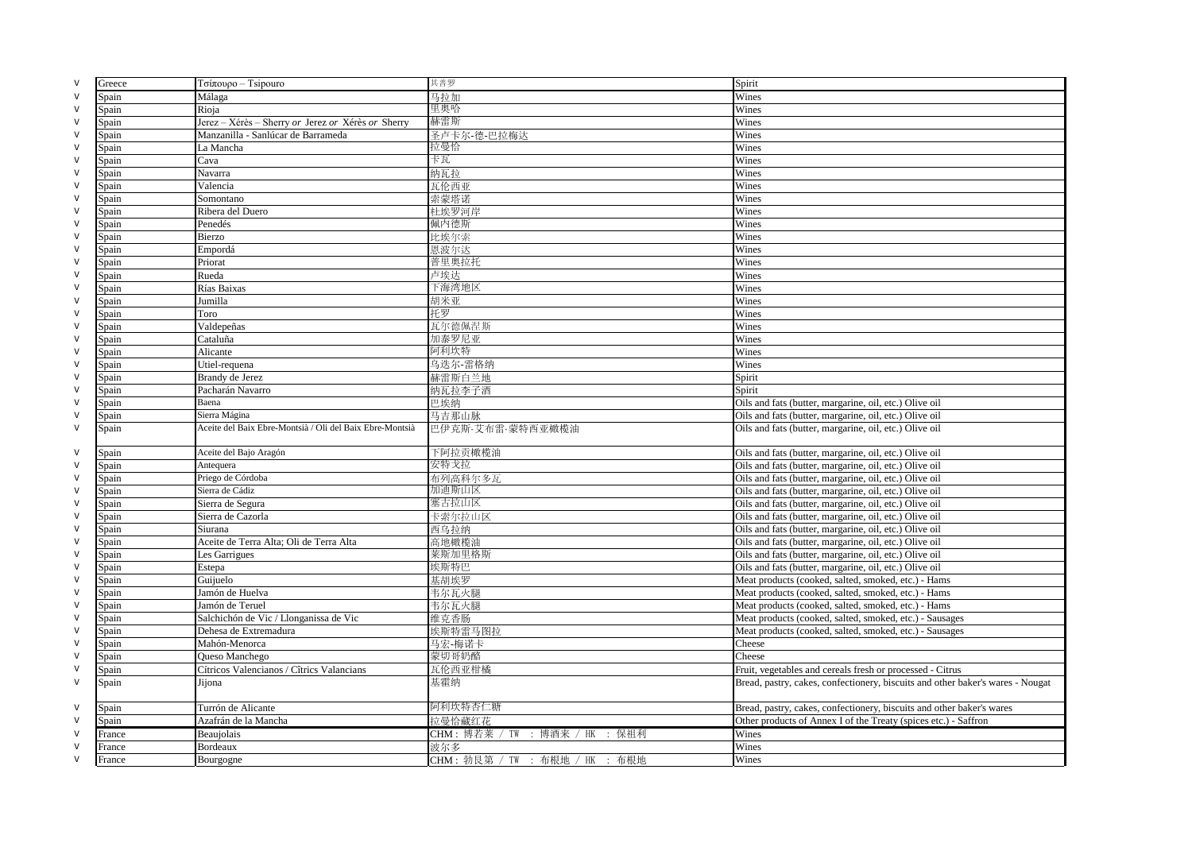| Greece<br>$\vee$ | $T\sigma$ ίπουρο - Tsipouro                              | 其普罗                             | Spirit                                                                         |
|------------------|----------------------------------------------------------|---------------------------------|--------------------------------------------------------------------------------|
| $\vee$<br>Spain  | Málaga                                                   | 马拉加                             | Wines                                                                          |
| $\vee$<br>Spain  | Rioja                                                    | 里奥哈                             | Wines                                                                          |
| $\vee$<br>Spain  | Jerez – Xérès – Sherry or Jerez or Xérès or Sherry       | 赫雷斯                             | Wines                                                                          |
| $\vee$<br>Spain  | Manzanilla - Sanlúcar de Barrameda                       | 圣卢卡尔-德-巴拉梅达                     | Wines                                                                          |
| $\vee$<br>Spain  | La Mancha                                                | 拉曼恰                             | Wines                                                                          |
| $\vee$<br>Spain  | Cava                                                     | 卡瓦                              | Wines                                                                          |
| $\vee$<br>Spain  | Navarra                                                  | 纳瓦拉                             | Wines                                                                          |
| $\vee$<br>Spain  | Valencia                                                 | 瓦伦西亚                            | Wines                                                                          |
| $\vee$<br>Spain  | Somontano                                                | 索蒙塔诺                            | Wines                                                                          |
| $\vee$<br>Spain  | Ribera del Duero                                         | 杜埃罗河岸                           | Wines                                                                          |
| $\vee$<br>Spain  | Penedés                                                  | 佩内德斯                            | Wines                                                                          |
| $\vee$<br>Spain  | Bierzo                                                   | 比埃尔索                            | Wines                                                                          |
| $\vee$<br>Spain  | Empordá                                                  | 恩波尔达                            | Wines                                                                          |
| $\vee$<br>Spain  | Priorat                                                  | 普里奥拉托                           | Wines                                                                          |
| $\vee$<br>Spain  | Rueda                                                    | 卢埃达                             | Wines                                                                          |
| $\vee$<br>Spain  | Rías Baixas                                              | 下海湾地区                           | Wines                                                                          |
| $\vee$<br>Spain  | Jumilla                                                  | 胡米亚                             | Wines                                                                          |
| $\vee$<br>Spain  | Toro                                                     | 托罗                              | Wines                                                                          |
| $\vee$<br>Spain  | Valdepeñas                                               | 瓦尔德佩涅斯                          | Wines                                                                          |
| $\vee$<br>Spain  | Cataluña                                                 | 加泰罗尼亚                           | Wines                                                                          |
| $\vee$<br>Spain  | Alicante                                                 | 阿利坎特                            | Wines                                                                          |
| $\vee$<br>Spain  | Utiel-requena                                            | 乌迭尔-雷格纳                         | Wines                                                                          |
| $\vee$<br>Spain  | Brandy de Jerez                                          | 赫雷斯白兰地                          | Spirit                                                                         |
| $\vee$<br>Spain  | Pacharán Navarro                                         | 纳瓦拉李子酒                          | Spirit                                                                         |
| $\vee$<br>Spain  | Baena                                                    | 巴埃纳                             | Oils and fats (butter, margarine, oil, etc.) Olive oil                         |
| $\vee$<br>Spain  | Sierra Mágina                                            | 马吉那山脉                           | Oils and fats (butter, margarine, oil, etc.) Olive oil                         |
| $\vee$<br>Spain  | Aceite del Baix Ebre-Montsià / Oli del Baix Ebre-Montsià | 巴伊克斯·艾布雷·蒙特西亚橄榄油                | Oils and fats (butter, margarine, oil, etc.) Olive oil                         |
| V<br>Spain       | Aceite del Bajo Aragón                                   | 下阿拉贡橄榄油                         | Oils and fats (butter, margarine, oil, etc.) Olive oil                         |
| $\vee$<br>Spain  | Antequera                                                | 安特戈拉                            | Oils and fats (butter, margarine, oil, etc.) Olive oil                         |
| $\vee$<br>Spain  | Priego de Córdoba                                        | 布列高科尔多瓦                         | Oils and fats (butter, margarine, oil, etc.) Olive oil                         |
| $\vee$<br>Spain  | Sierra de Cádiz                                          | 加迪斯山区                           | Oils and fats (butter, margarine, oil, etc.) Olive oil                         |
| $\vee$<br>Spain  | Sierra de Segura                                         | 塞古拉山区                           | Oils and fats (butter, margarine, oil, etc.) Olive oil                         |
| $\vee$<br>Spain  | Sierra de Cazorla                                        | 卡索尔拉山区                          | Oils and fats (butter, margarine, oil, etc.) Olive oil                         |
| $\vee$<br>Spain  | Siurana                                                  | 西乌拉纳                            | Oils and fats (butter, margarine, oil, etc.) Olive oil                         |
| $\vee$<br>Spain  | Aceite de Terra Alta; Oli de Terra Alta                  | 高地橄榄油                           | Oils and fats (butter, margarine, oil, etc.) Olive oil                         |
| $\vee$<br>Spain  | Les Garrigues                                            | 莱斯加里格斯                          | Oils and fats (butter, margarine, oil, etc.) Olive oil                         |
| $\vee$<br>Spain  | Estepa                                                   | 埃斯特巴                            | Oils and fats (butter, margarine, oil, etc.) Olive oil                         |
| $\vee$<br>Spain  | Guijuelo                                                 | 基胡埃罗                            | Meat products (cooked, salted, smoked, etc.) - Hams                            |
| $\vee$<br>Spain  | Jamón de Huelva                                          | 韦尔瓦火腿                           | Meat products (cooked, salted, smoked, etc.) - Hams                            |
| Spain            | Jamón de Teruel                                          | 韦尔瓦火腿                           | Meat products (cooked, salted, smoked, etc.) - Hams                            |
| $\vee$<br>Spain  | Salchichón de Vic / Llonganissa de Vic                   | 维克香肠                            | Meat products (cooked, salted, smoked, etc.) - Sausages                        |
| $\vee$<br>Spain  | Dehesa de Extremadura                                    | 埃斯特雷马图拉                         | Meat products (cooked, salted, smoked, etc.) - Sausages                        |
| $\vee$<br>Spain  | Mahón-Menorca                                            | 马宏-梅诺卡                          | Cheese                                                                         |
| $\vee$<br>Spain  | <b>Oueso Manchego</b>                                    | 蒙切哥奶酪                           | Cheese                                                                         |
| $\vee$<br>Spain  | Cítricos Valencianos / Cîtrics Valancians                | 瓦伦西亚柑橘                          | Fruit, vegetables and cereals fresh or processed - Citrus                      |
| V<br>Spain       | Jijona                                                   | 基霍纳                             | Bread, pastry, cakes, confectionery, biscuits and other baker's wares - Nougat |
| $\vee$<br>Spain  | Turrón de Alicante                                       | 阿利坎特杏仁糖                         | Bread, pastry, cakes, confectionery, biscuits and other baker's wares          |
| $\vee$<br>Spain  | Azafrán de la Mancha                                     | 拉曼恰藏红花                          | Other products of Annex I of the Treaty (spices etc.) - Saffron                |
| France           | Beaujolais                                               | CHM : 博若莱 / TW : 博酒来 / HK : 保祖利 | Wines                                                                          |
| France           | <b>Bordeaux</b>                                          | 波尔多                             | Wines                                                                          |
| France           | Bourgogne                                                | CHM : 勃艮第 / TW : 布根地 / HK : 布根地 | Wines                                                                          |
|                  |                                                          |                                 |                                                                                |

| d fats (butter, margarine, oil, etc.) Olive oil                         |
|-------------------------------------------------------------------------|
| d fats (butter, margarine, oil, etc.) Olive oil                         |
| d fats (butter, margarine, oil, etc.) Olive oil                         |
|                                                                         |
| d fats (butter, margarine, oil, etc.) Olive oil                         |
| d fats (butter, margarine, oil, etc.) Olive oil                         |
| d fats (butter, margarine, oil, etc.) Olive oil                         |
| d fats (butter, margarine, oil, etc.) Olive oil                         |
| d fats (butter, margarine, oil, etc.) Olive oil                         |
| d fats (butter, margarine, oil, etc.) Olive oil                         |
| d fats (butter, margarine, oil, etc.) Olive oil                         |
| d fats (butter, margarine, oil, etc.) Olive oil                         |
| d fats (butter, margarine, oil, etc.) Olive oil                         |
| d fats (butter, margarine, oil, etc.) Olive oil                         |
| products (cooked, salted, smoked, etc.) - Hams                          |
| products (cooked, salted, smoked, etc.) - Hams                          |
| products (cooked, salted, smoked, etc.) - Hams                          |
| products (cooked, salted, smoked, etc.) - Sausages                      |
| products (cooked, salted, smoked, etc.) - Sausages                      |
|                                                                         |
|                                                                         |
| vegetables and cereals fresh or processed - Citrus                      |
| pastry, cakes, confectionery, biscuits and other baker's wares - Nougat |
|                                                                         |
| pastry cakes, confectionery biscuits and other baker's wares            |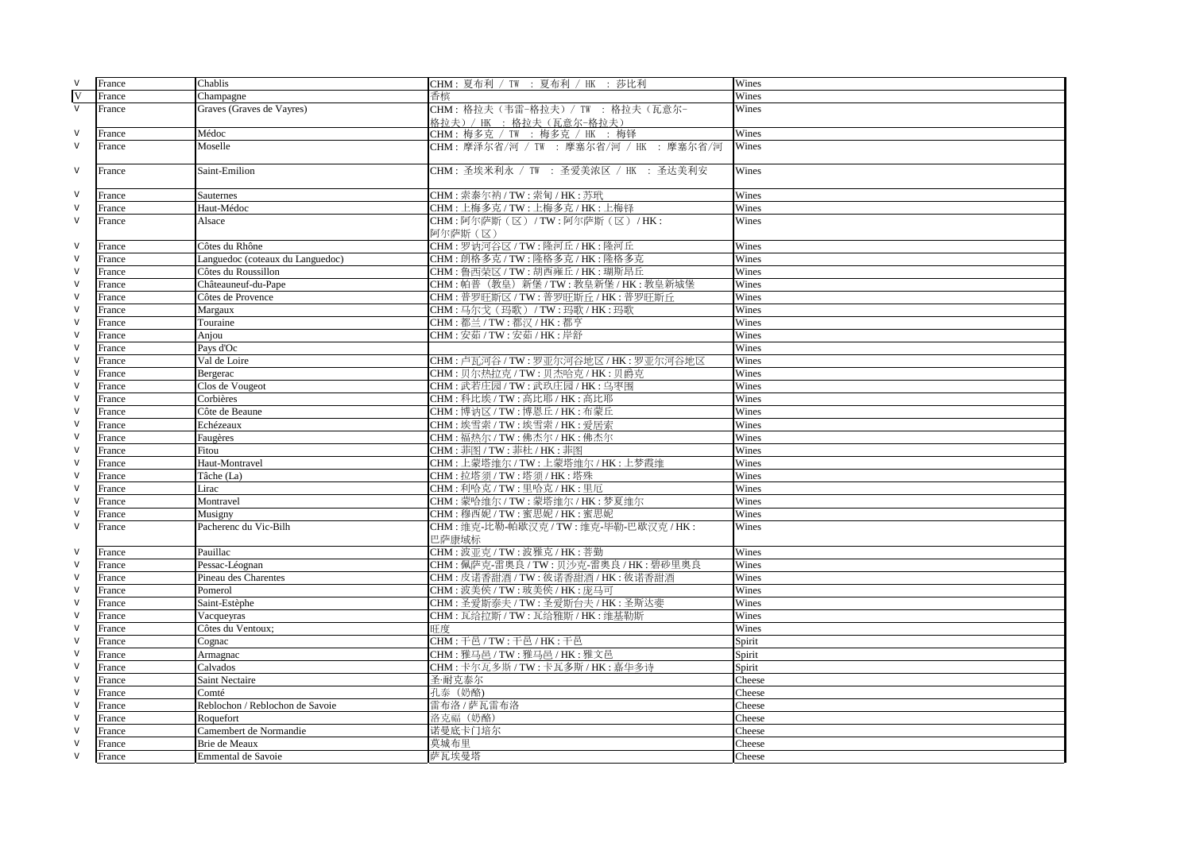| V            | France | Chablis                          | CHM : 夏布利 / TW : 夏布利 / HK : 莎比利                               | Wines  |
|--------------|--------|----------------------------------|---------------------------------------------------------------|--------|
| V            | France | Champagne                        | 香槟                                                            | Wines  |
| $\mathsf{V}$ | France | Graves (Graves de Vayres)        | CHM: 格拉夫(韦雷-格拉夫) / TW : 格拉夫(瓦意尔-<br>格拉夫) / HK : 格拉夫 (瓦意尔-格拉夫) | Wines  |
| $\vee$       | France | Médoc                            | CHM : 梅多克 / TW : 梅多克 / HK : 梅铎                                | Wines  |
| V            | France | Moselle                          | CHM : 摩泽尔省/河 / TW : 摩塞尔省/河 / HK : 摩塞尔省/河                      | Wines  |
| $\sf V$      | France | Saint-Emilion                    | CHM:圣埃米利永 / TW : 圣爱美浓区 / HK : 圣达美利安                           | Wines  |
| $\vee$       | France | Sauternes                        | CHM: 索泰尔衲 / TW: 索甸 / HK: 苏玳                                   | Wines  |
| $\vee$       | France | Haut-Médoc                       | CHM: 上梅多克 / TW: 上梅多克 / HK: 上梅铎                                | Wines  |
| V            | France | Alsace                           | $CHM$ : 阿尔萨斯 (区) / TW : 阿尔萨斯 (区) / HK :                       | Wines  |
|              |        |                                  | 阿尔萨斯(区)                                                       |        |
| $\mathsf{V}$ | France | Côtes du Rhône                   | CHM:罗讷河谷区 / TW:隆河丘 / HK:隆河丘                                   | Wines  |
| $\vee$       | France | Languedoc (coteaux du Languedoc) | CHM: 朗格多克 / TW: 隆格多克 / HK: 隆格多克                               | Wines  |
| V            | France | Côtes du Roussillon              | CHM: 鲁西荣区 / TW: 胡西雍丘 / HK: 瑚斯昂丘                               | Wines  |
| $\vee$       | France | Châteauneuf-du-Pape              | CHM: 帕普 (教皇) 新堡 / TW: 教皇新堡 / HK: 教皇新城堡                        | Wines  |
| V            | France | Côtes de Provence                | CHM:普罗旺斯区 / TW:普罗旺斯丘 / HK:普罗旺斯丘                               | Wines  |
| $\vee$       | France | Margaux                          | CHM:马尔戈 (玛歌) / TW:玛歌 / HK:玛歌                                  | Wines  |
| V            | France | Touraine                         | CHM: 都兰 / TW: 都汉 / HK: 都亨                                     | Wines  |
| $\vee$       | France | Anjou                            | CHM : 安茹 / TW : 安茹 / HK : 岸舒                                  | Wines  |
| V            | France | Pays d'Oc                        |                                                               | Wines  |
| $\vee$       | France | Val de Loire                     | CHM: 卢瓦河谷 / TW: 罗亚尔河谷地区 / HK: 罗亚尔河谷地区                         | Wines  |
| V            | France | Bergerac                         | CHM: 贝尔热拉克 / TW: 贝杰哈克 / HK: 贝爵克                               | Wines  |
| $\vee$       | France | Clos de Vougeot                  | CHM: 武若庄园 / TW: 武玖庄园 / HK: 乌枣围                                | Wines  |
| V            | France | Corbières                        | CHM:科比埃/TW:高比耶/HK:高比耶                                         | Wines  |
| $\vee$       | France | Côte de Beaune                   | CHM: 博讷区 / TW: 博恩丘 / HK: 布蒙丘                                  | Wines  |
| V            | France | Echézeaux                        | CHM : 埃雪索 / TW : 埃雪索 / HK : 爱居索                               | Wines  |
| $\vee$       | France | Faugères                         | CHM:福热尔/TW:佛杰尔/HK:佛杰尔                                         | Wines  |
| v            | France | Fitou                            | CHM: 菲图 / TW: 菲杜 / HK: 菲图                                     | Wines  |
| $\vee$       | France | Haut-Montravel                   | CHM : 上蒙塔维尔 / TW : 上蒙塔维尔 / HK : 上梦霞维                          | Wines  |
| $\vee$       | France | Tâche (La)                       | CHM: 拉塔须 / TW: 塔须 / HK: 塔殊                                    | Wines  |
| $\vee$       | France | Lirac                            | CHM: 利哈克 / TW: 里哈克 / HK: 里厄                                   | Wines  |
| V            | France | Montravel                        | $\overline{\text{CHM}}$ : 蒙哈维尔 / TW : 蒙塔维尔 / HK : 梦夏维尔        | Wines  |
| $\vee$       | France | Musigny                          | CHM:穆西妮 / TW:蜜思妮 / HK:蜜思妮                                     | Wines  |
| V            | France | Pacherenc du Vic-Bilh            | CHM: 维克-比勒-帕歇汉克 / TW: 维克-毕勒-巴歇汉克 / HK:<br>巴萨康域标               | Wines  |
| $\vee$       | France | Pauillac                         | CHM: 波亚克 / TW: 波雅克 / HK: 菩勤                                   | Wines  |
| $\vee$       | France | Pessac-Léognan                   | CHM:佩萨克-雷奥良 / TW:贝沙克-雷奥良 / HK:碧砂里奥良                           | Wines  |
| V            | France | Pineau des Charentes             | CHM: 皮诺香甜酒 / TW: 彼诺香甜酒 / HK: 彼诺香甜酒                            | Wines  |
| $\vee$       | France | Pomerol                          | CHM:波美侯/TW:玻美侯/HK:庞马可                                         | Wines  |
| $\vee$       | France | Saint-Estèphe                    | CHM:圣爱斯泰夫 / TW:圣爱斯台夫 / HK: 圣斯达斐                               | Wines  |
| $\vee$       | France | Vacqueyras                       | CHM: 瓦给拉斯 / TW: 瓦给雅斯 / HK: 维基勒斯                               | Wines  |
| V            | France | Côtes du Ventoux;                | 旺度                                                            | Wines  |
| V            | France | Cognac                           | CHM: 干邑 / TW: 干邑 / HK: 干邑                                     | Spirit |
| $\vee$       | France | Armagnac                         | CHM: 雅马邑 / TW: 雅马邑 / HK: 雅文邑                                  | Spirit |
| $\vee$       | France | Calvados                         | CHM : 卡尔瓦多斯 / TW : 卡瓦多斯 / HK : 嘉华多诗                           | Spirit |
| V            | France | <b>Saint Nectaire</b>            | 圣·耐克泰尔                                                        | Cheese |
| V            | France | Comté                            | 孔泰 (奶酪)                                                       | Cheese |
| V            | France | Reblochon / Reblochon de Savoie  | 雷布洛 / 萨瓦雷布洛                                                   | Cheese |
| $\vee$       | France | Roquefort                        | 洛克福 (奶酪)                                                      | Cheese |
| $\vee$       | France | Camembert de Normandie           | 诺曼底卡门培尔                                                       | Cheese |
| $\vee$       | France | <b>Brie de Meaux</b>             | 莫城布里                                                          | Cheese |
| V            | France | Emmental de Savoie               | 萨瓦埃曼塔                                                         | Cheese |
|              |        |                                  |                                                               |        |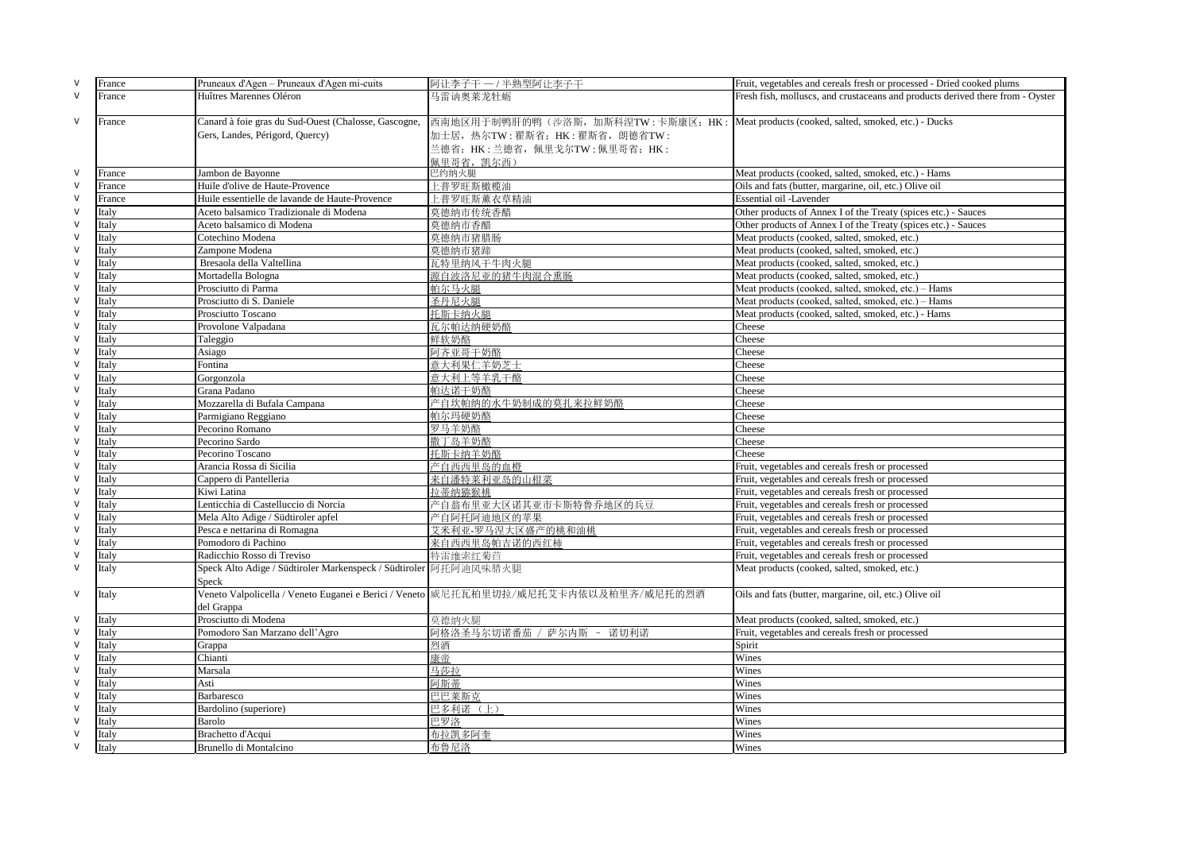| France       | Pruneaux d'Agen - Pruneaux d'Agen mi-cuits                                              | 阿让李子干 一 / 半熟型阿让李子干                                                                                                                                        | Fruit, vegetables and cereals fresh or processed - Dried cooked plums          |
|--------------|-----------------------------------------------------------------------------------------|-----------------------------------------------------------------------------------------------------------------------------------------------------------|--------------------------------------------------------------------------------|
| France       | Huîtres Marennes Oléron                                                                 | 马雷讷奥莱龙牡蛎                                                                                                                                                  | Fresh fish, molluscs, and crustaceans and products derived there from - Oyster |
| France       | Canard à foie gras du Sud-Ouest (Chalosse, Gascogne,<br>Gers, Landes, Périgord, Quercy) | 西南地区用于制鸭肝的鸭(沙洛斯,加斯科涅TW:卡斯康区; HK: Meat products (cooked, salted, smoked, etc.) - Ducks<br>加士居, 热尔TW:翟斯省; HK:翟斯省, 朗德省TW:<br>兰德省; HK: 兰德省, 佩里戈尔TW: 佩里哥省; HK: |                                                                                |
|              |                                                                                         | 佩里哥省, 凯尔西)                                                                                                                                                |                                                                                |
| France       | Jambon de Bayonne                                                                       | 巴约纳火腿                                                                                                                                                     | Meat products (cooked, salted, smoked, etc.) - Hams                            |
| France       | Huile d'olive de Haute-Provence                                                         | 上普罗旺斯橄榄油                                                                                                                                                  | Oils and fats (butter, margarine, oil, etc.) Olive oil                         |
| France       | Huile essentielle de lavande de Haute-Provence                                          | 上普罗旺斯薰衣草精油                                                                                                                                                | <b>Essential oil -Lavender</b>                                                 |
| Italy        | Aceto balsamico Tradizionale di Modena                                                  | 莫德纳市传统香醋                                                                                                                                                  | Other products of Annex I of the Treaty (spices etc.) - Sauces                 |
| Italy        | Aceto balsamico di Modena                                                               | 莫德纳市香醋                                                                                                                                                    | Other products of Annex I of the Treaty (spices etc.) - Sauces                 |
| Italy        | Cotechino Modena                                                                        | 莫德纳市猪腊肠                                                                                                                                                   | Meat products (cooked, salted, smoked, etc.)                                   |
| Italy        | Zampone Modena                                                                          | 莫德纳市猪蹄                                                                                                                                                    | Meat products (cooked, salted, smoked, etc.)                                   |
| Italy        | Bresaola della Valtellina                                                               | 瓦特里纳风干牛肉火腿                                                                                                                                                | Meat products (cooked, salted, smoked, etc.)                                   |
| Italy        | Mortadella Bologna                                                                      | 源自波洛尼亚的猪牛肉混合熏肠                                                                                                                                            | Meat products (cooked, salted, smoked, etc.)                                   |
| Italy        | Prosciutto di Parma                                                                     | 帕尔马火腿                                                                                                                                                     | Meat products (cooked, salted, smoked, etc.) - Hams                            |
| Italy        | Prosciutto di S. Daniele                                                                | 圣丹尼火腿                                                                                                                                                     | Meat products (cooked, salted, smoked, etc.) - Hams                            |
| Italy        | Prosciutto Toscano                                                                      | 托斯卡纳火腿                                                                                                                                                    | Meat products (cooked, salted, smoked, etc.) - Hams                            |
| Italy        | Provolone Valpadana                                                                     | 瓦尔帕达纳硬奶酪                                                                                                                                                  | Cheese                                                                         |
| Italy        | Taleggio                                                                                | 鲜软奶酪                                                                                                                                                      | Cheese                                                                         |
| Italy        | Asiago                                                                                  | 阿齐亚哥干奶酪                                                                                                                                                   | Cheese                                                                         |
| Italy        | Fontina                                                                                 | 意大利果仁羊奶芝士                                                                                                                                                 | Cheese                                                                         |
| Italy        | Gorgonzola                                                                              | 意大利上等羊乳干酪                                                                                                                                                 | Cheese                                                                         |
| Italy        | Grana Padano                                                                            | 帕达诺干奶酪                                                                                                                                                    | Cheese                                                                         |
| Italy        | Mozzarella di Bufala Campana                                                            | 产自坎帕纳的水牛奶制成的莫扎来拉鲜奶酪                                                                                                                                       | Cheese                                                                         |
| Italy        | Parmigiano Reggiano                                                                     | 帕尔玛硬奶酪                                                                                                                                                    | Cheese                                                                         |
| Italy        | Pecorino Romano                                                                         | 罗马羊奶酪                                                                                                                                                     | Cheese                                                                         |
| Italy        | Pecorino Sardo                                                                          | 撒丁岛羊奶酪                                                                                                                                                    | Cheese                                                                         |
| <b>Italy</b> | Pecorino Toscano                                                                        | 托斯卡纳羊奶酪                                                                                                                                                   | Cheese                                                                         |
| Italy        | Arancia Rossa di Sicilia                                                                | 产自西西里岛的血橙                                                                                                                                                 | Fruit, vegetables and cereals fresh or processed                               |
| Italy        | Cappero di Pantelleria                                                                  | 来自潘特莱利亚岛的山柑菜                                                                                                                                              | Fruit, vegetables and cereals fresh or processed                               |
| Italy        | Kiwi Latina                                                                             | 拉蒂纳猕猴桃                                                                                                                                                    | Fruit, vegetables and cereals fresh or processed                               |
| Italy        | Lenticchia di Castelluccio di Norcia                                                    | 产自翁布里亚大区诺其亚市卡斯特鲁乔地区的兵豆                                                                                                                                    | Fruit, vegetables and cereals fresh or processed                               |
| Italy        | Mela Alto Adige / Südtiroler apfel                                                      | 产自阿托阿迪地区的苹果                                                                                                                                               | Fruit, vegetables and cereals fresh or processed                               |
| Italy        | Pesca e nettarina di Romagna                                                            | 艾米利亚-罗马涅大区盛产的桃和油桃                                                                                                                                         | Fruit, vegetables and cereals fresh or processed                               |
| Italy        | Pomodoro di Pachino                                                                     | 来自西西里岛帕吉诺的西红柿                                                                                                                                             | Fruit, vegetables and cereals fresh or processed                               |
| Italy        | Radicchio Rosso di Treviso                                                              | 特雷维索红菊苣                                                                                                                                                   | Fruit, vegetables and cereals fresh or processed                               |
| Italy        | Speck Alto Adige / Südtiroler Markenspeck / Südtiroler 阿托阿迪风味腊火腿<br><b>Speck</b>        |                                                                                                                                                           | Meat products (cooked, salted, smoked, etc.)                                   |
| Italy        | del Grappa                                                                              | Veneto Valpolicella / Veneto Euganei e Berici / Veneto 威尼托瓦柏里切拉/威尼托艾卡内依以及柏里齐/威尼托的烈酒                                                                       | Oils and fats (butter, margarine, oil, etc.) Olive oil                         |
| Italy        | Prosciutto di Modena                                                                    | 莫德纳火腿                                                                                                                                                     | Meat products (cooked, salted, smoked, etc.)                                   |
| Italy        | Pomodoro San Marzano dell'Agro                                                          | 阿格洛圣马尔切诺番茄 / 萨尔内斯 -<br>诺切利诺                                                                                                                               | Fruit, vegetables and cereals fresh or processed                               |
| Italy        | Grappa                                                                                  | 烈酒                                                                                                                                                        | Spirit                                                                         |
| Italy        | Chianti                                                                                 | 康帝                                                                                                                                                        | Wines                                                                          |
| Italy        | Marsala                                                                                 | 马莎拉                                                                                                                                                       | Wines                                                                          |
| Italy        | Asti                                                                                    | 阿斯蒂                                                                                                                                                       | Wines                                                                          |
| Italy        | Barbaresco                                                                              | 巴巴莱斯克                                                                                                                                                     | Wines                                                                          |
| Italy        | Bardolino (superiore)                                                                   | 巴多利诺 (上)                                                                                                                                                  | Wines                                                                          |
| Italy        | Barolo                                                                                  | 巴罗洛                                                                                                                                                       | Wines                                                                          |
| Italy        | Brachetto d'Acqui                                                                       | 布拉凯多阿奎                                                                                                                                                    | Wines                                                                          |
|              | Brunello di Montalcino                                                                  | 布鲁尼洛                                                                                                                                                      | Wines                                                                          |
| Italy        |                                                                                         |                                                                                                                                                           |                                                                                |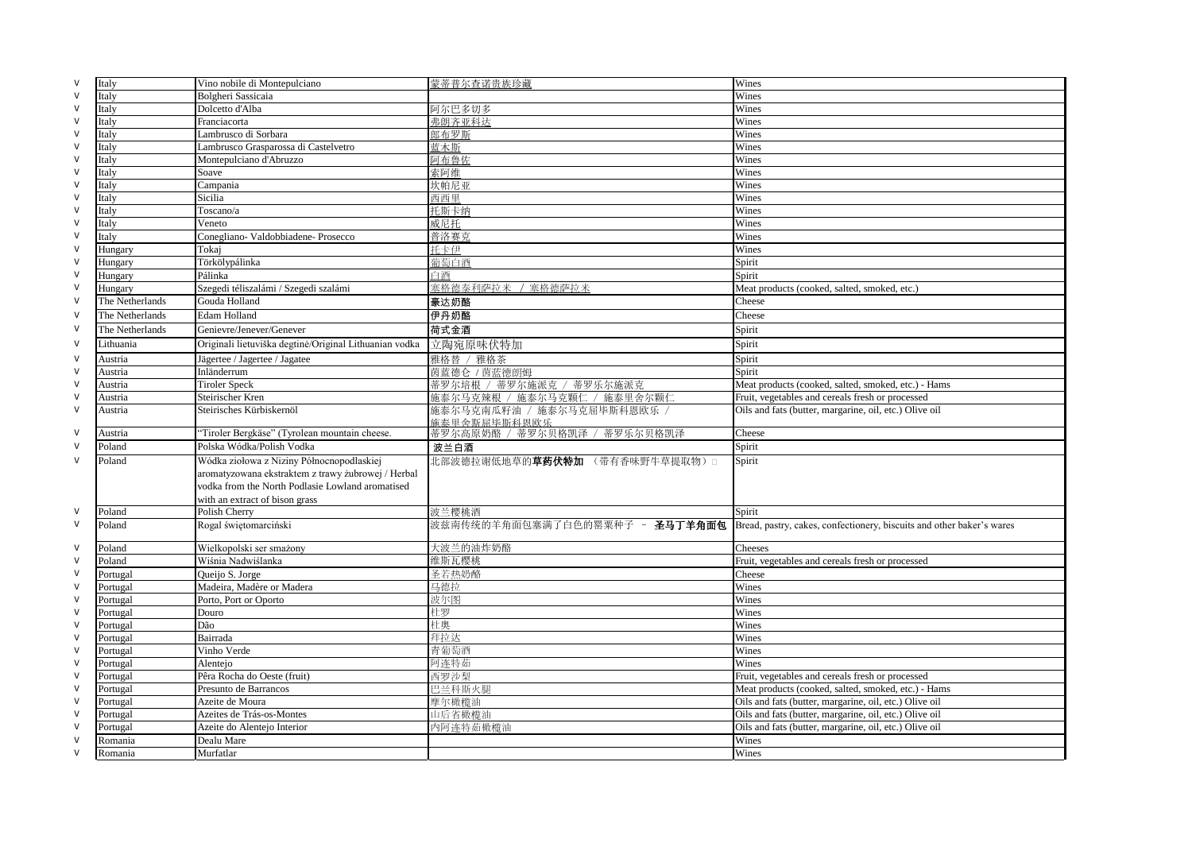| $\vee$ | Italy           | Vino nobile di Montepulciano                           | 蒙蒂普尔查诺贵族珍藏                      | Wines     |
|--------|-----------------|--------------------------------------------------------|---------------------------------|-----------|
| $\vee$ | Italy           | <b>Bolgheri Sassicaia</b>                              |                                 | Wines     |
| $\vee$ | Italy           | Dolcetto d'Alba                                        | 阿尔巴多切多                          | Wines     |
| $\vee$ | Italy           | Franciacorta                                           | 弗朗齐亚科达                          | Wines     |
| $\vee$ | Italy           | Lambrusco di Sorbara                                   | 郎布罗斯                            | Wines     |
| $\vee$ | Italy           | Lambrusco Grasparossa di Castelvetro                   | 蓝木斯                             | Wines     |
| $\vee$ | Italy           | Montepulciano d'Abruzzo                                | 阿布鲁佐                            | Wines     |
| V      | Italy           | Soave                                                  | 索阿维                             | Wines     |
| $\vee$ | Italy           | Campania                                               | 坎帕尼亚                            | Wines     |
| V      | Italy           | Sicilia                                                | 西西里                             | Wines     |
| V      | Italy           | Toscano/a                                              | 托斯卡纳                            | Wines     |
| V      | Italy           | Veneto                                                 | 威尼托                             | Wines     |
| $\vee$ | Italy           | Conegliano-Valdobbiadene-Prosecco                      | 普洛赛克                            | Wines     |
| $\vee$ | Hungary         | Tokaj                                                  | 托卡伊                             | Wines     |
| V      | Hungary         | Törkölypálinka                                         | 葡萄白酒                            | Spirit    |
| $\vee$ | Hungary         | Pálinka                                                | 白酒                              | Spirit    |
| $\vee$ | Hungary         | Szegedi téliszalámi / Szegedi szalámi                  | 塞格德泰利萨拉米<br>塞格德萨拉米              | Meat pr   |
| $\vee$ | The Netherlands | Gouda Holland                                          | 豪达奶酪                            | Cheese    |
| $\vee$ | The Netherlands | <b>Edam Holland</b>                                    | 伊丹奶酪                            | Cheese    |
| V      | The Netherlands | Genievre/Jenever/Genever                               | 荷式金酒                            | Spirit    |
| $\vee$ | Lithuania       | Originali lietuviška degtinė/Original Lithuanian vodka | 立陶宛原味伏特加                        | Spirit    |
| $\vee$ | Austria         | Jägertee / Jagertee / Jagatee                          | 雅格替 / 雅格茶                       | Spirit    |
| $\vee$ | Austria         | Inländerrum                                            | 茵蓝德仑 / 茵蓝德朗姆                    | Spirit    |
| V      | Austria         | <b>Tiroler Speck</b>                                   | 蒂罗尔培根 / 蒂罗尔施派克 / 蒂罗乐尔施派克        | Meat pro  |
| $\vee$ | Austria         | Steirischer Kren                                       | 施泰尔马克辣根 / 施泰尔马克颗仁 / 施泰里舍尔颗仁     | Fruit, ve |
| V      | Austria         | Steirisches Kürbiskernöl                               | 施泰尔马克南瓜籽油 / 施泰尔马克屈毕斯科恩欧乐 /      | Oils and  |
|        |                 |                                                        | 施泰里舍斯屈毕斯科恩欧乐                    |           |
| $\vee$ | Austria         | "Tiroler Bergkäse" (Tyrolean mountain cheese.          | 蒂罗尔高原奶酪 /<br>蒂罗尔贝格凯泽 / 蒂罗乐尔贝格凯泽 | Cheese    |
| V      | Poland          | Polska Wódka/Polish Vodka                              | 波兰白酒                            | Spirit    |
| V      | Poland          | Wódka ziołowa z Niziny Północnopodlaskiej              | 北部波德拉谢低地草的草药伏特加 (带有香味野牛草提取物)    | Spirit    |
|        |                 | aromatyzowana ekstraktem z trawy żubrowej / Herbal     |                                 |           |
|        |                 | vodka from the North Podlasie Lowland aromatised       |                                 |           |
|        |                 | with an extract of bison grass                         |                                 |           |
| $\vee$ | Poland          | Polish Cherry                                          | 波兰樱桃酒                           | Spirit    |
| $\vee$ | Poland          | Rogal świętomarciński                                  | 波兹南传统的羊角面包塞满了白色的罂粟种子 - 圣马丁羊角面包  | Bread, p  |
|        |                 |                                                        |                                 |           |
| $\vee$ | Poland          | Wielkopolski ser smażony                               | 大波兰的油炸奶酪                        | Cheeses   |
| $\vee$ | Poland          | Wiśnia Nadwiślanka                                     | 维斯瓦樱桃                           | Fruit, ve |
| $\vee$ | Portugal        | Queijo S. Jorge                                        | 圣若热奶酪                           | Cheese    |
| $\vee$ | Portugal        | Madeira, Madère or Madera                              | 马德拉                             | Wines     |
| $\vee$ | Portugal        | Porto, Port or Oporto                                  | 波尔图                             | Wines     |
| $\vee$ | Portugal        | Douro                                                  | 杜罗                              | Wines     |
| $\vee$ | Portugal        | Dão                                                    | 杜奥                              | Wines     |
| $\vee$ | Portugal        | Bairrada                                               | 拜拉达                             | Wines     |
| V      | Portugal        | Vinho Verde                                            | 青葡萄酒                            | Wines     |
| $\vee$ | Portugal        | Alentejo                                               | 阿连特茹                            | Wines     |
| $\vee$ | Portugal        | Pêra Rocha do Oeste (fruit)                            | 西罗沙梨                            | Fruit, ve |
| $\vee$ | Portugal        | Presunto de Barrancos                                  | 巴兰科斯火腿                          | Meat pr   |
| $\vee$ | Portugal        | Azeite de Moura                                        | 摩尔橄榄油                           | Oils and  |
| $\vee$ | Portugal        | Azeites de Trás-os-Montes                              | 山后省橄榄油                          | Oils and  |
| V      | Portugal        | Azeite do Alentejo Interior                            | 内阿连特茹橄榄油                        | Oils and  |
| $\vee$ | Romania         | Dealu Mare                                             |                                 | Wines     |
| V      | Romania         | Murfatlar                                              |                                 | Wines     |
|        |                 |                                                        |                                 |           |

v Hungary Szegedi (cooked, salted, smoked, etc.) products (cooked, salted, smoked, etc.) - Hams vegetables and cereals fresh or processed nd fats (butter, margarine, oil, etc.) Olive oil , pastry, cakes, confectionery, biscuits and other baker's wares vegetables and cereals fresh or processed vegetables and cereals fresh or processed products (cooked, salted, smoked, etc.) - Hams nd fats (butter, margarine, oil, etc.) Olive oil nd fats (butter, margarine, oil, etc.) Olive oil nd fats (butter, margarine, oil, etc.) Olive oil